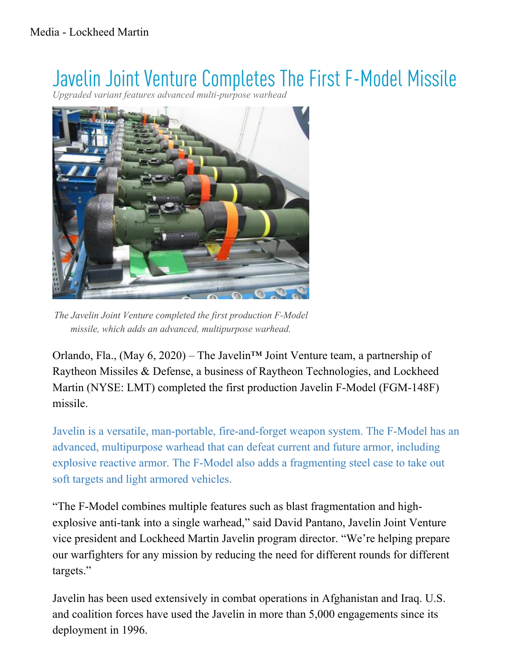## Javelin Joint Venture Completes The First F-Model Missile

*Upgraded variant features advanced multi-purpose warhead*



The Javelin Joint Venture completed the first production F-Model missile, which adds an advanced, multipurpose warhead.

Orlando, Fla., (May 6, 2020) – The Javelin<sup>TM</sup> Joint Venture team, a partnership of Raytheon Missiles & Defense, a business of Raytheon Technologies, and Lockheed Martin (NYSE: LMT) completed the first production Javelin F-Model (FGM-148F) missile.

Javelin is a versatile, man-portable, fire-and-forget weapon system. The F-Model has an advanced, multipurpose warhead that can defeat current and future armor, including explosive reactive armor. The F-Model also adds a fragmenting steel case to take out soft targets and light armored vehicles.

"The F-Model combines multiple features such as blast fragmentation and highexplosive anti-tank into a single warhead," said David Pantano, Javelin Joint Venture vice president and Lockheed Martin Javelin program director. "We're helping prepare our warfighters for any mission by reducing the need for different rounds for different targets."

Javelin has been used extensively in combat operations in Afghanistan and Iraq. U.S. and coalition forces have used the Javelin in more than 5,000 engagements since its deployment in 1996.